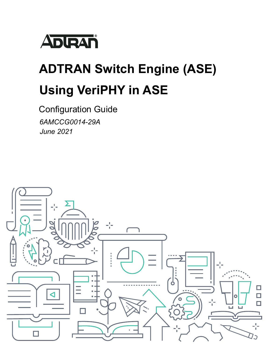

# **ADTRAN Switch Engine (ASE) Using VeriPHY in ASE**

Configuration Guide *6AMCCG0014-29A June 2021*

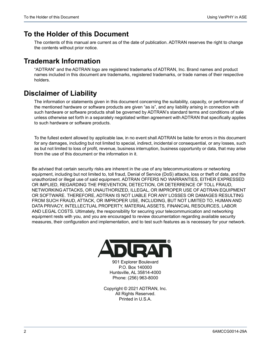## **To the Holder of this Document**

The contents of this manual are current as of the date of publication. ADTRAN reserves the right to change the contents without prior notice.

## **Trademark Information**

"ADTRAN" and the ADTRAN logo are registered trademarks of ADTRAN, Inc. Brand names and product names included in this document are trademarks, registered trademarks, or trade names of their respective holders.

# **Disclaimer of Liability**

The information or statements given in this document concerning the suitability, capacity, or performance of the mentioned hardware or software products are given "as is", and any liability arising in connection with such hardware or software products shall be governed by ADTRAN's standard terms and conditions of sale unless otherwise set forth in a separately negotiated written agreement with ADTRAN that specifically applies to such hardware or software products.

To the fullest extent allowed by applicable law, in no event shall ADTRAN be liable for errors in this document for any damages, including but not limited to special, indirect, incidental or consequential, or any losses, such as but not limited to loss of profit, revenue, business interruption, business opportunity or data, that may arise from the use of this document or the information in it.

Be advised that certain security risks are inherent in the use of any telecommunications or networking equipment, including but not limited to, toll fraud, Denial of Service (DoS) attacks, loss or theft of data, and the unauthorized or illegal use of said equipment. ADTRAN OFFERS NO WARRANTIES, EITHER EXPRESSED OR IMPLIED, REGARDING THE PREVENTION, DETECTION, OR DETERRENCE OF TOLL FRAUD, NETWORKING ATTACKS, OR UNAUTHORIZED, ILLEGAL, OR IMPROPER USE OF ADTRAN EQUIPMENT OR SOFTWARE. THEREFORE, ADTRAN IS NOT LIABLE FOR ANY LOSSES OR DAMAGES RESULTING FROM SUCH FRAUD, ATTACK, OR IMPROPER USE, INCLUDING, BUT NOT LIMITED TO, HUMAN AND DATA PRIVACY, INTELLECTUAL PROPERTY, MATERIAL ASSETS, FINANCIAL RESOURCES, LABOR AND LEGAL COSTS. Ultimately, the responsibility for securing your telecommunication and networking equipment rests with you, and you are encouraged to review documentation regarding available security measures, their configuration and implementation, and to test such features as is necessary for your network.



901 Explorer Boulevard P.O. Box 140000 Huntsville, AL 35814-4000 Phone: (256) 963-8000

Copyright © 2021 ADTRAN, Inc. All Rights Reserved. Printed in U.S.A.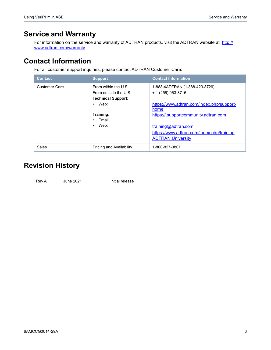# **Service and Warranty**

For information on the service and warranty of ADTRAN products, visit the ADTRAN website at [http://](https://portal.adtran.com/web/page/portal/Adtran/wp_support_warranty) [www.adtran.com/warranty.](https://portal.adtran.com/web/page/portal/Adtran/wp_support_warranty)

# **Contact Information**

For all customer support inquiries, please contact ADTRAN Customer Care:

| <b>Contact</b>       | <b>Support</b>                  | <b>Contact Information</b>                |
|----------------------|---------------------------------|-------------------------------------------|
| <b>Customer Care</b> | From within the U.S.            | 1-888-4ADTRAN (1-888-423-8726)            |
|                      | From outside the U.S.           | + 1 (256) 963-8716                        |
|                      | <b>Technical Support:</b>       |                                           |
|                      | Web:                            | https://www.adtran.com/index.php/support- |
|                      |                                 | home                                      |
|                      | Training:                       | https://.supportcommunity.adtran.com      |
|                      | Fmail:                          |                                           |
|                      | Web:                            | training@adtran.com                       |
|                      |                                 | https://www.adtran.com/index.php/training |
|                      |                                 | <b>ADTRAN University</b>                  |
| Sales                | <b>Pricing and Availability</b> | 1-800-827-0807                            |

# **Revision History**

Rev A June 2021 Initial release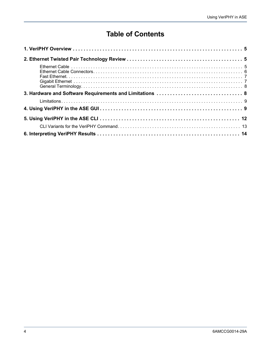# **Table of Contents**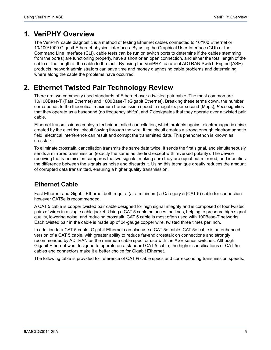# <span id="page-4-0"></span>**1. VeriPHY Overview**

The VeriPHY cable diagnostic is a method of testing Ethernet cables connected to 10/100 Ethernet or 10/100/1000 Gigabit-Ethernet physical interfaces. By using the Graphical User Interface (GUI) or the Command Line Interface (CLI), cable tests can be run on switch ports to determine if the cables stemming from the port(s) are functioning properly, have a short or an open connection, and either the total length of the cable or the length of the cable to the fault. By using the VeriPHY feature of ADTRAN Switch Engine (ASE) products, network administrators can save time and money diagnosing cable problems and determining where along the cable the problems have occurred.

# <span id="page-4-1"></span>**2. Ethernet Twisted Pair Technology Review**

There are two commonly used standards of Ethernet over a twisted pair cable. The most common are 10/100Base-T (Fast Ethernet) and 1000Base-T (Gigabit Ethernet). Breaking these terms down, the number corresponds to the theoretical maximum transmission speed in megabits per second (Mbps), *Base* signifies that they operate as a baseband (no frequency shifts), and *T* designates that they operate over a twisted pair cable.

Ethernet transmissions employ a technique called cancellation, which protects against electromagnetic noise created by the electrical circuit flowing through the wire. If the circuit creates a strong enough electromagnetic field, electrical interference can result and corrupt the transmitted data. This phenomenon is known as crosstalk.

To eliminate crosstalk, cancellation transmits the same data twice. It sends the first signal, and simultaneously sends a mirrored transmission (exactly the same as the first except with reversed polarity). The device receiving the transmission compares the two signals, making sure they are equal but mirrored, and identifies the difference between the signals as noise and discards it. Using this technique greatly reduces the amount of corrupted data transmitted, ensuring a higher quality transmission.

## <span id="page-4-2"></span>**Ethernet Cable**

Fast Ethernet and Gigabit Ethernet both require (at a minimum) a Category 5 (CAT 5) cable for connection however CAT5e is recommended.

A CAT 5 cable is copper twisted pair cable designed for high signal integrity and is composed of four twisted pairs of wires in a single cable jacket. Using a CAT 5 cable balances the lines, helping to preserve high signal quality, lowering noise, and reducing crosstalk. CAT 5 cable is most often used with 100Base-T networks. Each twisted pair in the cable is made up of 24-gauge copper wire, twisted three times per inch.

In addition to a CAT 5 cable, Gigabit Ethernet can also use a CAT 5e cable. CAT 5e cable is an enhanced version of a CAT 5 cable, with greater ability to reduce far-end crosstalk on connections and strongly recommended by ADTRAN as the minimum cable spec for use with the ASE series switches. Although Gigabit Ethernet was designed to operate on a standard CAT 5 cable, the higher specifications of CAT 5e cables and connectors make it a better choice for Gigabit Ethernet.

The following table is provided for reference of CAT *N* cable specs and corresponding transmission speeds.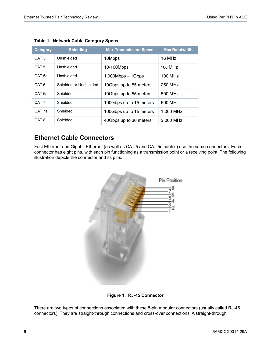| <b>Category</b>   | <b>Shielding</b>       | <b>Max Transmission Speed</b> | <b>Max Bandwidth</b> |
|-------------------|------------------------|-------------------------------|----------------------|
| CAT <sub>3</sub>  | Unshielded             | 10Mbps                        | 16 MHz               |
| CAT <sub>5</sub>  | Unshielded             | 10-100Mbps                    | 100 MHz              |
| CAT <sub>5e</sub> | Unshielded             | $1,000Mbps - 1Gbps$           | 100 MHz              |
| CAT <sub>6</sub>  | Shielded or Unshielded | 10Gbps up to 55 meters        | 250 MHz              |
| CAT 6a            | Shielded               | 10Gbps up to 55 meters        | 500 MHz              |
| CAT <sub>7</sub>  | Shielded               | 100Gbps up to 15 meters       | 600 MHz              |
| CAT 7a            | Shielded               | 100Gbps up to 15 meters       | 1,000 MHz            |
| CAT <sub>8</sub>  | Shielded               | 40Gbps up to 30 meters        | 2.000 MHz            |

#### **Table 1. Network Cable Category Specs**

#### <span id="page-5-0"></span>**Ethernet Cable Connectors**

Fast Ethernet and Gigabit Ethernet (as well as CAT 5 and CAT 5e cables) use the same connectors. Each connector has eight pins, with each pin functioning as a transmission point or a receiving point. The following illustration depicts the connector and its pins.



**Figure 1. RJ-45 Connector**

There are two types of connections associated with these 8-pin modular connectors (usually called RJ-45 connectors). They are straight-through connections and cross-over connections. A straight-through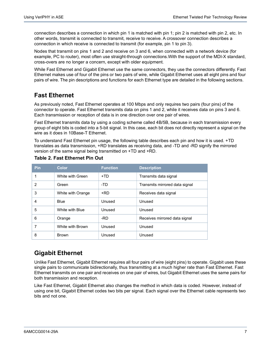connection describes a connection in which pin 1 is matched with pin 1; pin 2 is matched with pin 2, etc. In other words, transmit is connected to transmit, receive to receive. A crossover connection describes a connection in which receive is connected to transmit (for example, pin 1 to pin 3).

Nodes that transmit on pins 1 and 2 and receive on 3 and 6, when connected with a network device (for example, PC to router), most often use straight-through connections.With the support of the MDI-X standard, cross-overs are no longer a concern, except with older equipment.

While Fast Ethernet and Gigabit Ethernet use the same connectors, they use the connectors differently. Fast Ethernet makes use of four of the pins or two pairs of wire, while Gigabit Ethernet uses all eight pins and four pairs of wire. The pin descriptions and functions for each Ethernet type are detailed in the following sections.

## <span id="page-6-0"></span>**Fast Ethernet**

As previously noted, Fast Ethernet operates at 100 Mbps and only requires two pairs (four pins) of the connector to operate. Fast Ethernet transmits data on pins 1 and 2, while it receives data on pins 3 and 6. Each transmission or reception of data is in one direction over one pair of wires.

Fast Ethernet transmits data by using a coding scheme called 4B/5B, because in each transmission every group of eight bits is coded into a 5-bit signal. In this case, each bit does not directly represent a signal on the wire as it does in 10Base-T Ethernet.

To understand Fast Ethernet pin usage, the following table describes each pin and how it is used. +TD translates as data transmission, +RD translates as receiving data, and -TD and -RD signify the mirrored version of the same signal being transmitted on +TD and +RD.

| <b>Pin</b>    | Color.            | <b>Function</b> | <b>Description</b>             |
|---------------|-------------------|-----------------|--------------------------------|
| 1             | White with Green  | $+TD$           | Transmits data signal          |
| $\mathcal{P}$ | Green             | -TD             | Transmits mirrored data signal |
| 3             | White with Orange | +RD             | Receives data signal           |
| 4             | Blue              | Unused          | Unused                         |
| 5             | White with Blue   | Unused          | Unused                         |
| 6             | Orange            | -RD             | Receives mirrored data signal  |
| 7             | White with Brown  | Unused          | Unused                         |
| 8             | <b>Brown</b>      | Unused          | Unused                         |

#### **Table 2. Fast Ethernet Pin Out**

#### <span id="page-6-1"></span>**Gigabit Ethernet**

Unlike Fast Ethernet, Gigabit Ethernet requires all four pairs of wire (eight pins) to operate. Gigabit uses these single pairs to communicate bidirectionally, thus transmitting at a much higher rate than Fast Ethernet. Fast Ethernet transmits on one pair and receives on one pair of wires, but Gigabit Ethernet uses the same pairs for both transmission and reception.

Like Fast Ethernet, Gigabit Ethernet also changes the method in which data is coded. However, instead of using one bit, Gigabit Ethernet codes two bits per signal. Each signal over the Ethernet cable represents two bits and not one.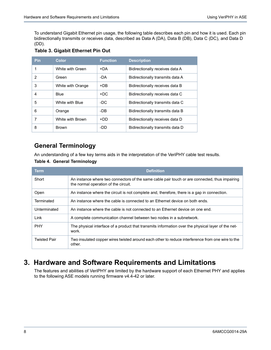To understand Gigabit Ethernet pin usage, the following table describes each pin and how it is used. Each pin bidirectionally transmits or receives data, described as Data A (DA), Data B (DB), Data C (DC), and Data D (DD).

| <b>Pin</b> | <b>Color</b>      | <b>Function</b> | <b>Description</b>               |
|------------|-------------------|-----------------|----------------------------------|
|            | White with Green  | +DA             | Bidirectionally receives data A  |
| 2          | Green             | -DA             | Bidirectionally transmits data A |
| 3          | White with Orange | $+DB$           | Bidirectionally receives data B  |
| 4          | <b>Blue</b>       | $+DC$           | Bidirectionally receives data C  |
| 5          | White with Blue   | -DC             | Bidirectionally transmits data C |
| 6          | Orange            | -DB             | Bidirectionally transmits data B |
|            | White with Brown  | +DD             | Bidirectionally receives data D  |
| 8          | <b>Brown</b>      | -DD             | Bidirectionally transmits data D |

#### **Table 3. Gigabit Ethernet Pin Out**

## <span id="page-7-0"></span>**General Terminology**

An understanding of a few key terms aids in the interpretation of the VeriPHY cable test results.

#### **Table 4. General Terminology**

| <b>Term</b>         | <b>Definition</b>                                                                                                                      |
|---------------------|----------------------------------------------------------------------------------------------------------------------------------------|
| Short               | An instance where two connectors of the same cable pair touch or are connected, thus impairing<br>the normal operation of the circuit. |
| Open                | An instance where the circuit is not complete and, therefore, there is a gap in connection.                                            |
| Terminated          | An instance where the cable is connected to an Ethernet device on both ends.                                                           |
| Unterminated        | An instance where the cable is not connected to an Ethernet device on one end.                                                         |
| Link                | A complete communication channel between two nodes in a subnetwork.                                                                    |
| <b>PHY</b>          | The physical interface of a product that transmits information over the physical layer of the net-<br>work.                            |
| <b>Twisted Pair</b> | Two insulated copper wires twisted around each other to reduce interference from one wire to the<br>other.                             |

# <span id="page-7-1"></span>**3. Hardware and Software Requirements and Limitations**

The features and abilities of VeriPHY are limited by the hardware support of each Ethernet PHY and applies to the following ASE models running firmware v4.4-42 or later.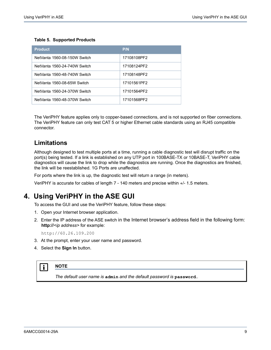#### **Table 5. Supported Products**

| <b>Product</b>               | P/N         |
|------------------------------|-------------|
| NetVanta 1560-08-150W Switch | 17108108PF2 |
| NetVanta 1560-24-740W Switch | 17108124PF2 |
| NetVanta 1560-48-740W Switch | 17108148PF2 |
| NetVanta 1560-08-65W Switch  | 17101561PF2 |
| NetVanta 1560-24-370W Switch | 17101564PF2 |
| NetVanta 1560-48-370W Switch | 17101568PF2 |

The VeriPHY feature applies only to copper-based connections, and is not supported on fiber connections. The VeriPHY feature can only test CAT 5 or higher Ethernet cable standards using an RJ45 compatible connector.

#### <span id="page-8-0"></span>**Limitations**

Although designed to test multiple ports at a time, running a cable diagnostic test will disrupt traffic on the port(s) being tested. If a link is established on any UTP port in 100BASE-TX or 10BASE-T, VeriPHY cable diagnostics will cause the link to drop while the diagnostics are running. Once the diagnostics are finished, the link will be reestablished. 1G Ports are unaffected.

For ports where the link is up, the diagnostic test will return a range (in meters).

VeriPHY is accurate for cables of length 7 - 140 meters and precise within +/- 1.5 meters.

## <span id="page-8-1"></span>**4. Using VeriPHY in the ASE GUI**

To access the GUI and use the VeriPHY feature, follow these steps:

- 1. Open your Internet browser application.
- 2. Enter the IP address of the ASE switch in the Internet browser's address field in the following form: **http://***<ip address>* for example:

http://60.26.109.200

- 3. At the prompt, enter your user name and password.
- 4. Select the **Sign In** button.

#### **1 NOTE**

*The default user name is* **admin** *and the default password is* **password***..*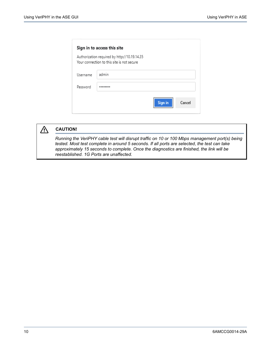|          | Sign in to access this site                                                                |         |        |
|----------|--------------------------------------------------------------------------------------------|---------|--------|
|          | Authorization required by http://10.19.14.35<br>Your connection to this site is not secure |         |        |
| Username | admin                                                                                      |         |        |
| Password |                                                                                            |         |        |
|          |                                                                                            | Sign in | Cancel |



## $\hat{M}$  CAUTION!

*Running the VeriPHY cable test will disrupt traffic on 10 or 100 Mbps management port(s) being tested. Most test complete in around 5 seconds. If all ports are selected, the test can take approximately 15 seconds to complete. Once the diagnostics are finished, the link will be reestablished. 1G Ports are unaffected.*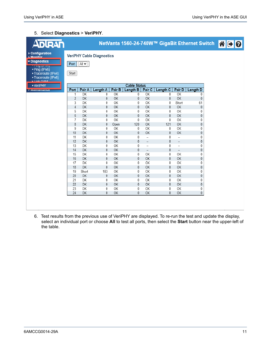#### 5. Select **Diagnostics** > **VeriPHY**.

| <b>ADIRAN</b>                                                                            |               |          |                                  |           |                     |                                |                     |                                | NetVanta 1560-24-740W™ GigaBit Ethernet Switch | AGI |  |
|------------------------------------------------------------------------------------------|---------------|----------|----------------------------------|-----------|---------------------|--------------------------------|---------------------|--------------------------------|------------------------------------------------|-----|--|
| ▶ Configuration<br><b>Monitor</b><br>Diagnostics                                         |               |          | <b>VeriPHY Cable Diagnostics</b> |           |                     |                                |                     |                                |                                                |     |  |
| n ung (n verj<br>· Ping (IPv6)<br>· Traceroute (IPv4)<br>• Traceroute (IPv6)<br>Link OAM | Port<br>Start | AU       |                                  |           |                     |                                |                     |                                |                                                |     |  |
| - VeriPHY                                                                                |               |          |                                  |           | <b>Cable Status</b> |                                |                     |                                |                                                |     |  |
| <b>Privisimuentanue</b>                                                                  | Port          | Pair A   | Length A                         | Pair B    | Length B            | Pair C                         | Length <sub>C</sub> | Pair D                         | Length D                                       |     |  |
|                                                                                          | 1             | OK       | 0                                | OK        | 0                   | OK                             | 0                   | OK                             | 0                                              |     |  |
|                                                                                          | 2             | OK       | 0                                | OK        | 0                   | OK                             | 0                   | OK                             | 0                                              |     |  |
|                                                                                          | 3             | OK       | 0                                | OK        | 0                   | OK                             | 0                   | Short                          | 61                                             |     |  |
|                                                                                          | 4             | OK       | $\mathbf 0$                      | OK        | 0                   | OK                             | $\mathbf{0}$        | OK                             | 0                                              |     |  |
|                                                                                          | 5             | OK       | 0                                | 0K        | 0                   | OK                             | 0                   | OK                             | 0                                              |     |  |
|                                                                                          | 6             | OK       | 0                                | OK        | 0                   | OK                             | 0                   | OK                             | 0                                              |     |  |
|                                                                                          | 7             | OK       | 0                                | OK        | 0                   | OK                             | 0                   | OK                             | 0                                              |     |  |
|                                                                                          | 8             | OK       | $\mathbf 0$                      | Open      | 120                 | OK                             | 121                 | OK                             | 0                                              |     |  |
|                                                                                          | 9             | OK       | 0                                | OK        | 0                   | OK                             | 0                   | OK                             | 0                                              |     |  |
|                                                                                          | 10<br>11      | OK<br>OK | 0<br>0                           | OK<br>OK  | 0<br>0              | OK<br>$\overline{\phantom{a}}$ | 0<br>0              | OK<br>$\overline{\phantom{a}}$ | 0<br>0                                         |     |  |
|                                                                                          | 12            | OK       | 0                                | OK        | 0                   | $\overline{\phantom{a}}$       | 0                   | $\overline{\phantom{a}}$       | 0                                              |     |  |
|                                                                                          | 13            | OK       | 0                                | OK        | 0                   |                                | 0                   | Ξ.                             | 0                                              |     |  |
|                                                                                          | 14            | OK       | $\mathbf 0$                      | <b>OK</b> | 0                   | $\overline{\phantom{a}}$       | 0                   | $\overline{\phantom{a}}$       | 0                                              |     |  |
|                                                                                          | 15            | OK       | 0                                | OK        | 0                   | OK                             | 0                   | OK                             | 0                                              |     |  |
|                                                                                          | 16            | OK       | $\mathbf{0}$                     | OK        | 0                   | OK                             | $\mathbf{0}$        | OK                             | $\mathbf 0$                                    |     |  |
|                                                                                          | 17            | OK       | 0                                | OK        | 0                   | OK                             | 0                   | OK                             | 0                                              |     |  |
|                                                                                          | 18            | OK       | $\mathbf{0}$                     | OK        | 0                   | OK                             | $\mathbf{0}$        | OK                             | 0                                              |     |  |
|                                                                                          | 19            | Short    | 183                              | OK        | 0                   | OK                             | 0                   | OK                             | 0                                              |     |  |
|                                                                                          | 20            | OK       | 0                                | OK        | 0                   | OK                             | 0                   | OK                             | 0                                              |     |  |
|                                                                                          | 21            | OK       | 0                                | OK        | 0                   | OK                             | 0                   | OK                             | 0                                              |     |  |
|                                                                                          | 22            | OK       | $\mathbf 0$                      | <b>OK</b> | 0                   | OK                             | $\mathbf{0}$        | OK                             | $\mathbf 0$                                    |     |  |
|                                                                                          | 23            | OK       | 0                                | OK        | 0                   | OK                             | 0                   | OK                             | 0                                              |     |  |
|                                                                                          | 24            | OK       | 0                                | OK        | 0                   | OK                             | 0                   | OK                             | 0                                              |     |  |
|                                                                                          |               |          |                                  |           |                     |                                |                     |                                |                                                |     |  |

6. Test results from the previous use of VeriPHY are displayed. To re-run the test and update the display, select an individual port or choose **All** to test all ports, then select the **Start** button near the upper-left of the table.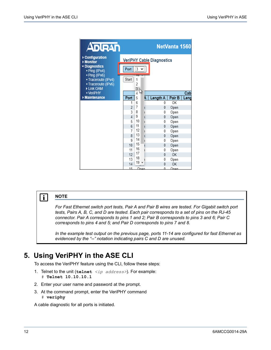| <b>ADIRAN</b>                                                                                                                         |                |                                               |                                  | NetVanta 1560 |      |
|---------------------------------------------------------------------------------------------------------------------------------------|----------------|-----------------------------------------------|----------------------------------|---------------|------|
| ▶ Configuration<br>Monitor<br>Diagnostics<br>· Ping (IPv4)<br>· Ping (IPv6)<br>- Traceroute (IPv4)<br>- Traceroute (IPv6)<br>Link OAM | Port<br>Start  | $\overline{3}$<br>$\checkmark$<br>1<br>2<br>3 | <b>VeriPHY Cable Diagnostics</b> |               |      |
| • VeriPHY                                                                                                                             |                | ß<br>4                                        |                                  |               | Cab  |
| Maintenance                                                                                                                           | Port           | 5<br>А                                        | Length A                         | Pair B        | Leng |
|                                                                                                                                       | 1              | 6                                             | $\theta$                         | OK            |      |
|                                                                                                                                       | 2              | 7                                             | 0                                | Open          |      |
|                                                                                                                                       | 3              | 8                                             | 0                                | Open          |      |
|                                                                                                                                       | $\overline{4}$ | 9                                             | 0                                | Open          |      |
|                                                                                                                                       | 5              | 10                                            | 0                                | Open          |      |
|                                                                                                                                       | 6              | 11                                            | 0                                | Open          |      |
|                                                                                                                                       | 7              | 12                                            | 0                                | Open          |      |
|                                                                                                                                       | 8              | 13                                            | 0                                | Open          |      |
|                                                                                                                                       | 9              | 14                                            | 0                                | Open          |      |
|                                                                                                                                       | 10             | 15                                            | $\theta$                         | Open          |      |
|                                                                                                                                       | 11             | 16                                            | 0                                | Open          |      |
|                                                                                                                                       | 12             | 17                                            | $\theta$                         | OK            |      |
|                                                                                                                                       | 13             | 18                                            | 0                                | Open          |      |
|                                                                                                                                       | 14             | 19                                            | $\theta$                         | OK            |      |
|                                                                                                                                       | 15             | Onen                                          | Λ                                | Onen          |      |

### $i$  MOTE

*For Fast Ethernet switch port tests, Pair A and Pair B wires are tested. For Gigabit switch port tests, Pairs A, B, C, and D are tested. Each pair corresponds to a set of pins on the RJ-45 connector. Pair A corresponds to pins 1 and 2; Pair B corresponds to pins 3 and 6; Pair C corresponds to pins 4 and 5; and Pair D corresponds to pins 7 and 8.* 

*In the example test output on the previous page, ports 11-14 are configured for fast Ethernet as evidenced by the "--" notation indicating pairs C and D are unused.*

## <span id="page-11-0"></span>**5. Using VeriPHY in the ASE CLI**

To access the VeriPHY feature using the CLI, follow these steps:

- 1. Telnet to the unit (**telnet** *<ip address>*). For example: # **Telnet 10.10.10.1**
- 2. Enter your user name and password at the prompt.
- 3. At the command prompt, enter the VeriPHY command # **veriphy**

A cable diagnostic for all ports is initiated.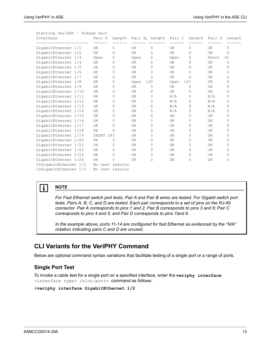|                       | Starting VeriPHY – Please wait |                 |          |           |                |        |          |           |          |  |
|-----------------------|--------------------------------|-----------------|----------|-----------|----------------|--------|----------|-----------|----------|--|
| Interface             |                                | Pair A          | Length   |           | Pair B, Length | Pair C | Length   | Pair D    | Length   |  |
| GigabitEthernet 1/1   |                                | OK.             | 0        | 0K        | 0              | OK.    | $\Omega$ | OK        | 0        |  |
| GigabitEthernet 1/2   |                                | OK              | $\Omega$ | OK        | 0              | OK     | 0        | OK        | $\Omega$ |  |
| GigabitEthernet 1/3   |                                | Open            | $\Omega$ | Open      | 0              | Open   | 0        | Short     | 61       |  |
| GigabitEthernet 1/4   |                                | OK              | 0        | 0K        | 0              | OK.    | 0        | OK        | $\Omega$ |  |
| GigabitEthernet 1/5   |                                | OK              | $\Omega$ | OK        | 0              | OK     | 0        | ΟK        | $\Omega$ |  |
| GigabitEthernet 1/6   |                                | OK              | $\Omega$ | OK.       | 0              | OK.    | $\Omega$ | OK.       | 0        |  |
| GigabitEthernet 1/7   |                                | OK              | 0        | ОK        | 0              | OK     | $\Omega$ | OK        | $\Omega$ |  |
| GigabitEthernet 1/8   |                                | OK              | 0        | Open      | 120            | Open   | 121      | <b>OK</b> | O        |  |
| GigabitEthernet 1/9   |                                | ΟK              | 0        | 0K        | 0              | 0K     | $\Omega$ | OK.       | $\Omega$ |  |
| GigabitEthernet 1/10  |                                | OK              | 0        | OK        | 0              | OK     | $\Omega$ | 0K        | $\Omega$ |  |
| GigabitEthernet 1/11  |                                | OK              | 0        | 0K        | 0              | N/A    | 0        | N/A       | $\Omega$ |  |
| GigabitEthernet 1/12  |                                | OK              | 0        | OK        | 0              | N/A    | $\Omega$ | N/A       | $\Omega$ |  |
| GigabitEthernet 1/13  |                                | OK              | 0        | OK        | 0              | N/A    | 0        | N/A       | 0        |  |
| GigabitEthernet 1/14  |                                | OK              | 0        | <b>OK</b> | 0              | N/A    | 0        | N/A       | 0        |  |
| GigabitEthernet 1/15  |                                | OK              | 0        | ΟK        | 0              | OK     | 0        | ΟK        | $\Omega$ |  |
| GigabitEthernet 1/16  |                                | OK              | 0        | OK        | 0              | OK     | $\Omega$ | 0K        | $\Omega$ |  |
| GigabitEthernet 1/17  |                                | OK              | 0        | OK        | 0              | OK     | 0        | 0K        | $\Omega$ |  |
| GigabitEthernet 1/18  |                                | OK              | $\Omega$ | OK        | 0              | OK     | 0        | OK        | $\Omega$ |  |
| GigabitEthernet 1/19  |                                | SHORT 183       |          | OK        | 0              | 0K     | $\Omega$ | 0K        | 0        |  |
| GigabitEthernet 1/20  |                                | OK              | 0        | 0K        | 0              | OK.    | 0        | 0K        | $\Omega$ |  |
| GigabitEthernet 1/21  |                                | OK              | 0        | OK        | 0              | OK     | $\Omega$ | <b>OK</b> | $\Omega$ |  |
| GigabitEthernet 1/22  |                                | OK              | $\Omega$ | OK        | 0              | 0K     | $\Omega$ | <b>OK</b> | $\Omega$ |  |
| GigabitEthernet 1/23  |                                | OK              | 0        | 0K        | 0              | OK.    | 0        | OK        | $\Omega$ |  |
| GigabitEthernet 1/24  |                                | OK              | 0        | OK        | 0              | OK     | 0        | OK        | 0        |  |
| 10GigabitEthernet 1/1 |                                | No test results |          |           |                |        |          |           |          |  |
| 10GigabitEthernet 1/2 |                                | No test results |          |           |                |        |          |           |          |  |

#### Starting VeriPHY - Please wait

#### **i** NOTE

*For Fast Ethernet switch port tests, Pair A and Pair B wires are tested. For Gigabit switch port tests, Pairs A, B, C, and D are tested. Each pair corresponds to a set of pins on the RJ-45 connector. Pair A corresponds to pins 1 and 2; Pair B corresponds to pins 3 and 6; Pair C corresponds to pins 4 and 5; and Pair D corresponds to pins 7and 8.*

*In the example above, ports 11-14 are configured for fast Ethernet as evidenced by the "N/A" notation indicating pairs C and D are unused.*

#### <span id="page-12-0"></span>**CLI Variants for the VeriPHY Command**

Below are optional command syntax variations that facilitate testing of a single port or a range of ports.

#### **Single Port Test**

To invoke a cable test for a single port on a specified interface, enter the **veriphy interface** *<interface type> <slot/port>* command as follows:

```
#veriphy interface GigabitEthernet 1/2
```